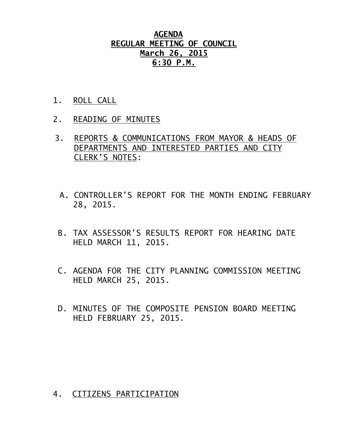### **AGENDA REGULAR MEETING OF COUNCIL March 26, 2015 6:30 P.M.**

- 1. ROLL CALL
- 2. READING OF MINUTES
- 3. REPORTS & COMMUNICATIONS FROM MAYOR & HEADS OF DEPARTMENTS AND INTERESTED PARTIES AND CITY CLERK'S NOTES:
	- A. CONTROLLER'S REPORT FOR THE MONTH ENDING FEBRUARY 28, 2015.
- B. TAX ASSESSOR'S RESULTS REPORT FOR HEARING DATE HELD MARCH 11, 2015.
- C. AGENDA FOR THE CITY PLANNING COMMISSION MEETING HELD MARCH 25, 2015.
- D. MINUTES OF THE COMPOSITE PENSION BOARD MEETING HELD FEBRUARY 25, 2015.

#### 4. CITIZENS PARTICIPATION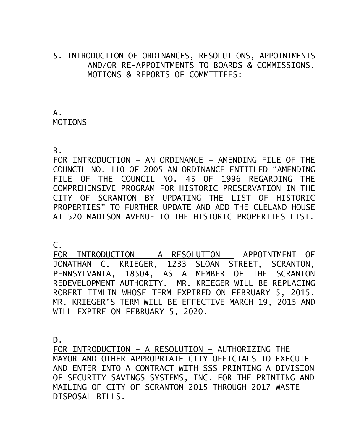#### 5. INTRODUCTION OF ORDINANCES, RESOLUTIONS, APPOINTMENTS AND/OR RE-APPOINTMENTS TO BOARDS & COMMISSIONS. MOTIONS & REPORTS OF COMMITTEES:

A. MOTIONS

B.

FOR INTRODUCTION – AN ORDINANCE – AMENDING FILE OF THE COUNCIL NO. 110 OF 2005 AN ORDINANCE ENTITLED "AMENDING FILE OF THE COUNCIL NO. 45 OF 1996 REGARDING THE COMPREHENSIVE PROGRAM FOR HISTORIC PRESERVATION IN THE CITY OF SCRANTON BY UPDATING THE LIST OF HISTORIC PROPERTIES" TO FURTHER UPDATE AND ADD THE CLELAND HOUSE AT 520 MADISON AVENUE TO THE HISTORIC PROPERTIES LIST.

 $\mathsf{C}$ .

FOR INTRODUCTION – A RESOLUTION – APPOINTMENT OF JONATHAN C. KRIEGER, 1233 SLOAN STREET, SCRANTON, PENNSYLVANIA, 18504, AS A MEMBER OF THE SCRANTON REDEVELOPMENT AUTHORITY. MR. KRIEGER WILL BE REPLACING ROBERT TIMLIN WHOSE TERM EXPIRED ON FEBRUARY 5, 2015. MR. KRIEGER'S TERM WILL BE EFFECTIVE MARCH 19, 2015 AND WILL EXPIRE ON FEBRUARY 5, 2020.

D.

FOR INTRODUCTION – A RESOLUTION – AUTHORIZING THE MAYOR AND OTHER APPROPRIATE CITY OFFICIALS TO EXECUTE AND ENTER INTO A CONTRACT WITH SSS PRINTING A DIVISION OF SECURITY SAVINGS SYSTEMS, INC. FOR THE PRINTING AND MAILING OF CITY OF SCRANTON 2015 THROUGH 2017 WASTE DISPOSAL BILLS.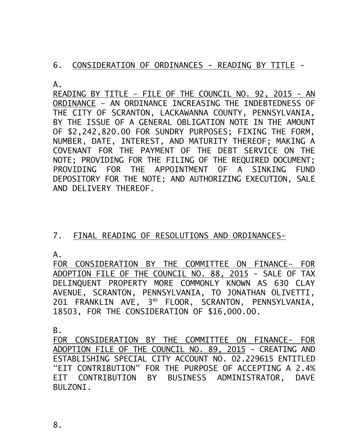### 6. CONSIDERATION OF ORDINANCES - READING BY TITLE -

A.

READING BY TITLE – FILE OF THE COUNCIL NO. 92, 2015 - AN ORDINANCE – AN ORDINANCE INCREASING THE INDEBTEDNESS OF THE CITY OF SCRANTON, LACKAWANNA COUNTY, PENNSYLVANIA, BY THE ISSUE OF A GENERAL OBLIGATION NOTE IN THE AMOUNT OF \$2,242,820.00 FOR SUNDRY PURPOSES; FIXING THE FORM, NUMBER, DATE, INTEREST, AND MATURITY THEREOF; MAKING A COVENANT FOR THE PAYMENT OF THE DEBT SERVICE ON THE NOTE; PROVIDING FOR THE FILING OF THE REQUIRED DOCUMENT; PROVIDING FOR THE APPOINTMENT OF A SINKING FUND DEPOSITORY FOR THE NOTE; AND AUTHORIZING EXECUTION, SALE AND DELIVERY THEREOF.

## 7. FINAL READING OF RESOLUTIONS AND ORDINANCES-

A.

FOR CONSIDERATION BY THE COMMITTEE ON FINANCE- FOR ADOPTION FILE OF THE COUNCIL NO. 88, 2015 - SALE OF TAX DELINQUENT PROPERTY MORE COMMONLY KNOWN AS 630 CLAY AVENUE, SCRANTON, PENNSYLVANIA, TO JONATHAN OLIVETTI, 201 FRANKLIN AVE, 3<sup>RD</sup> FLOOR, SCRANTON, PENNSYLVANIA, 18503, FOR THE CONSIDERATION OF \$16,000.00.

B.

FOR CONSIDERATION BY THE COMMITTEE ON FINANCE- FOR ADOPTION FILE OF THE COUNCIL NO. 89, 2015 - CREATING AND ESTABLISHING SPECIAL CITY ACCOUNT NO. 02.229615 ENTITLED "EIT CONTRIBUTION" FOR THE PURPOSE OF ACCEPTING A 2.4% EIT CONTRIBUTION BY BUSINESS ADMINISTRATOR, DAVE BULZONI.